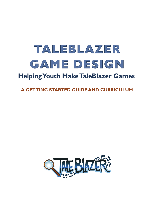# **TALEBLAZER GAME DESIGN Helping Youth Make TaleBlazer Games**

**A GETTING STARTED GUIDE AND CURRICULUM**

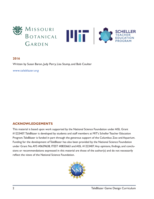

#### **2016**

Written by Susan Baron, Judy Perry, Lisa Stump, and Bob Coulter

[www.taleblazer.org](http://www.taleblazer.org)

#### **ACKNOWLEDGEMENTS**

This material is based upon work supported by the National Science Foundation under AISL Grant #1223407. TaleBlazer is developed by students and staff members at MIT's Scheller Teacher Education Program. TaleBlazer is funded in part through the generous support of the Columbus Zoo and Aquarium. Funding for the development of TaleBlazer has also been provided by the National Science Foundation under Grant No. AYS #0639638, ITEST #0833663 and AISL #1223407. Any opinions, findings, and conclusions or recommendations expressed in this material are those of the author(s) and do not necessarily reflect the views of the National Science Foundation.

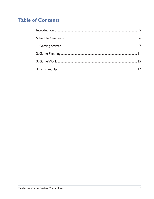### **Table of Contents**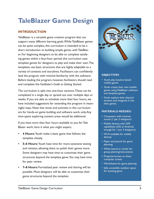## <span id="page-4-0"></span>**TaleBlazer Game Design**

#### **INTRODUCTION**

TaleBlazer is a versatile game creation program that can support many different learning goals. While TaleBlazer games can be quite complex, this curriculum is intended to be a short introduction to building simple games with TaleBlazer. For beginning designers to be able to complete satisfying games within a four-hour period, this curriculum uses template games for designers to play and make their own. The templates use basic structures that are highly adaptable to a variety of contexts and storylines. Facilitators can confidently lead the program with minimal familiarity with the software. Before leading the program, however, facilitators should read and complete the *Facilitator's Guide to Getting Started*.

The curriculum is split into one-hour sections. These can be completed in a single day or spread out over multiple days or weeks. If you are able to schedule more than four hours, we have included suggestions for extending the program in meaningful ways. Note that times and activities in this curriculum are for hands-on game building and software work, only. Any time spent exploring content areas would be additional.

If you have more than four hours available to you for Tale Blazer work, here is what you might expect:

- **• 4 Hours:** Youth make a basic game that follows the template closely.
- **• 5–6 Hours:** Youth have time for more extensive testing and revision, allowing them to polish their games more. Some designers may have time to customize their game structures beyond the template game. You may have time for peer review.
- **• 7–8 Hours:** Formalized peer review and sharing will be possible. Most designers will be able to customize their game structures beyond the template.



#### **OBJECTIVES**

- Youth play location-based mobile games
- Youth create their own mobile games using TaleBlazer software and template games.
- Youth explore their physical location and integrate it into their games.

#### **MATERIALS NEEDED:**

- Computers with internet access (1 per 2 designers)
- Mobile devices with GPS capabilities (iOS or Android, enough for 1 per 2 designers).
- Wi-Fi available for mobile **devices**
- Paper and pencils for game planning
- White board or similar for group planning/instructions
- Projector/screen to share computer screen
- Worksheets for game planning
- Safe, accessible outdoor space for locating game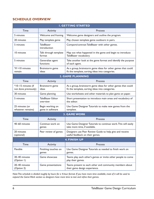#### <span id="page-5-0"></span>**SCHEDULE OVERVIEW**

| <b>I. GETTING STARTED</b>                  |                                      |                                                                                                                  |  |  |  |  |
|--------------------------------------------|--------------------------------------|------------------------------------------------------------------------------------------------------------------|--|--|--|--|
| Time                                       | Activity                             | Process                                                                                                          |  |  |  |  |
| 5 minutes                                  | Welcome and framing                  | Welcome game designers and outline the program.                                                                  |  |  |  |  |
| 20 minutes                                 | Play template game                   | Play chosen template game outdoors in pairs.                                                                     |  |  |  |  |
| 5 minutes                                  | <b>TaleBlazer</b><br>introduction    | Compare/contrast TaleBlazer with other games.                                                                    |  |  |  |  |
| 10 minutes                                 | Talk through template<br>format      | Map out what happened in the game and begin to introduce<br>TaleBlazer vocabulary.                               |  |  |  |  |
| 5 minutes                                  | Generalize agent<br>functions        | Take another look at the game format and identify the purpose<br>of each agent.                                  |  |  |  |  |
| *If >10 minutes<br>remain                  | Brainstorm game<br>ideas             | As a group, brainstorm game ideas for other games that could<br>fit the template, sorting ideas into categories. |  |  |  |  |
| <b>2. GAME PLANNING</b>                    |                                      |                                                                                                                  |  |  |  |  |
| Time                                       | Activity                             | <b>Process</b>                                                                                                   |  |  |  |  |
| *10-15 minutes (if<br>not done previously) | Brainstorm game<br>ideas             | As a group, brainstorm game ideas for other games that could<br>fit the template, sorting ideas into categories. |  |  |  |  |
| 30 minutes                                 | Game planning                        | Use worksheets and other materials to plan game on paper.                                                        |  |  |  |  |
| 5 minutes                                  | <b>TaleBlazer Editor</b><br>overview | Short presentation to introduce main areas and vocabulary of<br>the editor.                                      |  |  |  |  |
| 25 minutes (or<br>whatever remains)        | Begin working on<br>game in software | Use Game Designer Tutorials to make new games from the<br>template.                                              |  |  |  |  |
| <b>3. GAME WORK</b>                        |                                      |                                                                                                                  |  |  |  |  |
| Time                                       | Activity                             | <b>Process</b>                                                                                                   |  |  |  |  |
| 40-60 minutes                              | Continue work on<br>games            | Use Game Designer Tutorials to continue work. This will easily<br>take more time, if available.                  |  |  |  |  |
| 20 minutes<br>(optional)<br>VТ             | Peer review of games                 | Designers use Peer Review Guide to help give and receive<br>useful feedback on their games.                      |  |  |  |  |
| <b>4. FINISH UP</b>                        |                                      |                                                                                                                  |  |  |  |  |
| <b>Time</b>                                | Activity                             | Process                                                                                                          |  |  |  |  |
| Flexible                                   | Finishing touches on<br>games        | Use Game Designer Tutorials as needed to finish work on<br>games.                                                |  |  |  |  |
| 30-40 minutes<br>(Option I)                | Game showcase                        | Teams play each other's games or invite other people to come<br>play their games.                                |  |  |  |  |
| 20-40 minutes<br>(Option 2)                | Game presentations                   | Teams present to each other and community members about<br>their game design experience.                         |  |  |  |  |

*Note: This schedule is divided roughly by hours for a 4-hour format. If you have more time available, most of it will be used to expand the Game Work section so designers have more time to test and refine their games.*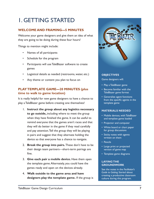### <span id="page-6-0"></span>1. GETTING STARTED

### **WELCOME AND FRAMING—5 MINUTES**

Welcome your game designers and give them an idea of what they are going to be doing during these four hours!

Things to mention might include:

- Names of all participants
- Schedule for the program
- Participants will use TaleBlazer software to create games
- Logistical details as needed (restrooms, water, etc.)
- Any theme or content you plan to focus on

#### **PLAY TEMPLATE GAME—20 MINUTES (plus time to walk to game location)**

It is really helpful for new game designers to have a chance to play a TaleBlazer game before creating one themselves!

- 1. **Instruct the group about any logistics necessary to go outside,** including where to meet the group when they have finished the game. It can be useful to remind everyone that the games aren't races and that they will do better in the game if they read carefully and pay attention. Tell the group they will be playing in pairs and suggest that they alternate holding the device so that everyone has a chance to navigate.
- 2. **Break the group into pairs.** These don't have to be their design team partners—short-term pairings are fine.
- 3. **Give each pair a mobile device.** Have them open the template game. Alternately, you could have the games ready and open on the devices already.
- 4. **Walk outside to the game area and have designers play the template game.** If the group is



#### **OBJECTIVES** Game designers will:

- Play a TaleBlazer game
- Become familiar with the TaleBlazer game format
- Generalize agent functions from the specific agents in the template game

#### **MATERIALS NEEDED**

- Mobile devices, with TaleBlazer and template game loaded
- Projector and computer
- White board or chart paper for group discussions
- Sticky notes with agents written on them
- Pencils
- Large print or projected version of game map
- Template game diagrams

#### **LAYING THE GROUNDWORK**

See the notes in the *Facilitator's Guide to Getting Started* about creating a productive classroom culture during this program.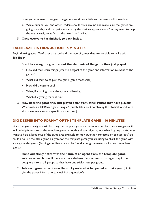large, you may want to stagger the game start times a little so the teams will spread out.

- a. While outside, you and other leaders should walk around and make sure the games are going smoothly and that pairs are sharing the devices appropriately. You may need to help the teams navigate at first, if the area is unfamiliar.
- 5. **Once everyone has finished, go back inside.**

#### **TALEBLAZER INTRODUCTION—5 MINUTES**

Begin thinking about TaleBlazer as a tool and the type of games that are possible to make with TaleBlazer.

- 1. **Start by asking the group about the elements of the game they just played.**
	- How did they learn things (what to do/goal of the game and information relevant to the game)?
	- What did they do to play the game (game mechanics)?
	- How did the game end?
	- What, if anything, made the game challenging?
	- What, if anything, made it fun?
- 2. **How does the game they just played differ from other games they have played?**  What makes a TaleBlazer game unique? (Briefly talk about combining the physical world with virtual elements, using a specific location, etc.)

#### **DIG DEEPER INTO FORMAT OF THE TEMPLATE GAME—10 MINUTES**

Since the game designers will be using the template game as the foundation for their own games, it will be helpful to look at the template game in depth and start figuring out what is going on. You may want to have a large map of the game area available to look at, either projected or printed out. You could also use the blank game diagram for the template game you are using to chart the game with your game designers. (Blank game diagrams can be found among the materials for each template game.)

- 1. **Hand out sticky notes with the name of an agent from the template game written on each one.** If there are more designers in your group than agents, split the designers into small groups so they have one sticky note per group.
- 2. **Ask each group to write on the sticky note what happened at that agent** (did it give the player information/a clue? Ask a question?)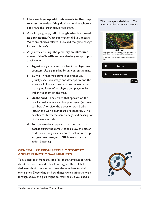- 3. **Have each group add their agents to the map or chart in order.** If they don't remember where it goes, have the larger group help them.
- 4. **As a large group, talk through what happened at each agent.** (What information did you receive? Were any choices offered? How did the game change for each choice?)
- 5. As you walk through the game, **try to introduce some of the TaleBlazer vocabulary**. As appropriate, include:
	- a. **Agent**  any character or object the player encounters. Usually marked by an icon on the map.
	- b. **Bump**  When you bump into agents, you (usually) see their image and description, and the software follows any instructions connected to that agent. Most often, players bump agents by walking to them on the map.
	- c. **Dashboard**  The screen that appears on the mobile device when you bump an agent (an agent dashboard) or view the player or world tabs (player and world dashboards, respectively). The dashboard shows the name, image, and description of the agent or tab.
	- d. **Action**  Actions appear as buttons on dashboards during the game. Actions allow the player to do something: make a choice, pick up or drop an agent, read text, etc. (**OK** buttons are not action buttons.)

#### **GENERALIZE FROM SPECIFIC STORY TO AGENT FUNCTION—5 MINUTES**

Take a step back from the specifics of the template to think about the function and role of each agent. This will help designers think about ways to use the template for their own games. Depending on how things went during the walkthrough above, this part might be really brief. If you used a

This is an **agent dashboard**. The buttons at the bottom are actions.



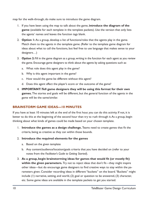map for the walk-through, do make sure to introduce the game diagram.

- 1. If you have been using the map to talk about the game, **introduce the diagram of the game** (available for each template in the template packets). Use the version that only lists the agents' names and leaves the function tags blank.
- 2. **Option 1:** As a group, develop a list of functions/roles that the agents play in the game. Match them to the agents in the template game. (Refer to the template game diagram for ideas about what to call the functions, but feel free to use language that makes sense to your designers…)
- 3. **Option 2:** Fill in the game diagram as a group, writing in the function for each agent as you review the game. Encourage game designers to think about the agents by asking questions such as:
	- a. What role does this agent play in the game?
	- b. Why is this agent important in the game?
	- c. How would the game be different without this agent?
	- d. Does this agent affect the player's score or the outcome of the game?
- 4. **IMPORTANT: Tell game designers they will be using this format for their own games.** The stories and goals will be different, but the general function of the agents in the game will be the same/similar.

#### **BRAINSTORM GAME IDEAS—10 MINUTES**

If you have at least 10 minutes left at the end of the first hour, you can do this activity. If not, it is better to do this at the beginning of the second hour than try to rush through it. As a group, begin thinking about what kinds of games could be made based on your chosen template.

- 1. **Introduce the games as a design challenge.** Teams need to create games that fit the criteria, being as creative as they can within those bounds.
- 2. **Introduce the required elements for the games**
	- a. Based on the given template
	- b. Any content/audience/location/goals criteria that you have decided on (refer to your notes from the *Facilitator's Guide to Getting Started*).
- 3. **As a group, begin brainstorming ideas for games that would fit (or mostly fit) within the given parameters.** Try not to reject ideas that don't fit—they might inspire other ideas—but do encourage game designers to find creative ways to stay within the parameters given. Consider recording ideas in different "buckets" on the board. "Buckets" might include (1) narrative, setting, and world, (2) goal or question to be answered, (3) character, etc. Some game ideas are available in the template packets to get you started.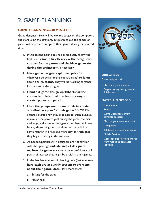### <span id="page-10-0"></span>2. GAME PLANNING

#### **GAME PLANNING—30 MINUTES**

Game designers likely will be excited to get on the computers and start using the software, but planning out the games on paper will help them complete their games during the allotted time.

- 1. If this second hour does not immediately follow the first hour activities, **briefly review the design constraints for the games and the ideas generated during the brainstorm**, if necessary*.*
- 2. **Have game designers split into pairs** (or whatever size design teams you are using) **to form their design teams.** They will be working together for the rest of the program.
- 3. **Hand out game design worksheets for the chosen template to all the teams, along with scratch paper and pencils.**
- 4. **Have the groups use the materials to create a preliminary plan for their game** (it's OK if it changes later!). They should be able to articulate, at a minimum, the player's goal during the game, the main challenge, and some of the agents the player will meet. Having these things written down or recorded in some manner will help designers stay on track once they begin working in the software.
- 5. As needed, particularly if designers are not familiar with the space, **go outside and let designers explore the game area**, and take notes/pictures of points of interest that might be useful in their games.
- 6. In the last few minutes of planning time (5–7 minutes) **have each group quickly present to everyone about their game ideas**. Have them share:
	- a. Setting for the game
	- b. Player goal



#### **OBJECTIVES**

Game designers will:

- Plan their game on paper
- Begin creating their games in TaleBlazer

#### **MATERIALS NEEDED**

- Scratch paper
- Pencils
- Game worksheets (from template packets)
- Maps of game area (optional)
- Computers
- TaleBlazer account information
- Mobile Devices
- Cords for transferring pictures from mobile to computer (optional)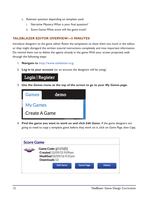- c. Relevant question depending on template used:
	- i. Narrative Mystery: What is your final question?
	- ii. Score Game: What score will the game track?

#### **TALEBLAZER EDITOR OVERVIEW—5 MINUTES**

Introduce designers to the game editor. Resist the temptation to show them too much in the editor, or they might disregard the written tutorial instructions completely and miss important information. Do remind them not to delete the agents already in the game. With your screen projected, walk through the following steps:

- 1. **Navigate to** <http://www.taleblazer.org>.
- 2. **Log in to your account** (or an account the designers will be using).



3. **Use the** *Games* **menu at the top of the screen to go to your** *My Games* **page.**



4. **Find the game you want to work on and click** *Edit Game***.** If the game designers are going to need to copy a template game before they work on it, click on *Game Page*, then *Copy*.

| <b>Score Game</b> |                                                                                           |                  |                  |               |
|-------------------|-------------------------------------------------------------------------------------------|------------------|------------------|---------------|
|                   | Game Code: gnziqbj<br>Created 12/09/15 9:09am<br>Modified 02/09/16 9:31am<br>Downloads 12 |                  |                  |               |
|                   |                                                                                           | <b>Edit Game</b> | <b>Game Page</b> | <b>Delete</b> |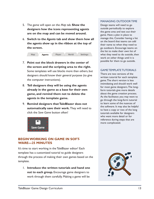- 5. The game will open on the *Map* tab. **Show the designers how the icons representing agents are on the map and can be moved around.**
- 6. **Switch to the** *Agents* **tab and show them how all the agents show up in the ribbon at the top of the screen.**



- 7. **Point out the block drawers in the center of the screen and the scripting area to the right.** Some templates will use blocks more than others, but designers should know their general purpose (to give the computer instructions).
- 8. **Tell designers they will be using the agents already in the game as a base for their own game, and remind them not to delete the agents in the template game.**
- 9. **Remind designers that TaleBlazer does not automatically save their work.** They will need to click the *Save Game* button often!



#### **BEGIN WORKING ON GAME IN SOFT-WARE—25 MINUTES**

It's time to start working in the TaleBlazer editor! Each template has a customized tutorial to guide designers through the process of making their own games based on the template.

1. **Introduce the written tutorials and hand one out to each group.** Encourage game designers to work through them carefully. Making a game will be

#### MANAGING OUTDOOR TIME

Design teams will need to go outside periodically to explore the game area and test out their game. Have a plan in place to manage this. Consider having a list on the board that teams can add their name to when they need to go outdoors. Encourage teams on the list to make their own list of what they need to do outside, then work on other things until it is possible for them to go outside.

#### GAME TEMPLATE TUTORIALS

There are two versions of the written tutorial for each template game. The short version is less intimidating and should work well for most game designers. The longform tutorials give more details about the game creation process. As the facilitator, you may want to go through the long-form tutorial to learn some of the nuances of the software. It may also be helpful to have a copy or two of the long tutorials available for designers who want more detail or for reference during steps that are more complicated.

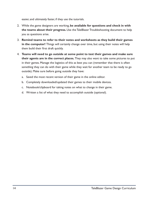easier, and ultimately faster, if they use the tutorials.

- 2. While the game designers are working, **be available for questions and check in with the teams about their progress.** Use the TaleBlazer Troubleshooting document to help you as questions arise.
- 3. **Remind teams to refer to their notes and worksheets as they build their games in the computer!** Things will certainly change over time, but using their notes will help them build their first draft quickly.
- 4. **Teams will need to go outside at some point to test their games and make sure their agents are in the correct places.** They may also want to take some pictures to put in their games. Manage the logistics of this as best you can (remember that there is often *something* they can do with their game while they wait for another team to be ready to go outside). Make sure before going outside they have:
	- a. Saved the most recent version of their game in the online editor.
	- b. Completely downloaded/updated their games to their mobile devices.
	- c. Notebook/clipboard for taking notes on what to change in their game.
	- d. Written a list of what they need to accomplish outside (optional).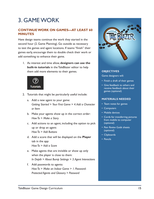### <span id="page-14-0"></span>3. GAME WORK

#### **CONTINUE WORK ON GAMES—AT LEAST 60 MINUTES**

Have design teams continue the work they started in the second hour (2. Game Planning). Go outside as necessary to test the games and agent locations. If teams "finish" their games early, encourage them to double check their work or add something to enhance their game.

1. As interest and time allow, **designers can use the built-in tutorials** in the TaleBlazer editor to help them add more elements to their games.



- 2. Tutorials that might be particularly useful include:
	- a. Add a new agent to your game: *Getting Started* > *Your First Game* > *4. Add a Character or Item*
	- b. Make your agents show up in the correct order: *How To* > *Make a Story*
	- c. Add actions to an agent, including the option to pick up or drop an agent: *How To* > *Add Buttons*
	- d. Add a score that will be displayed on the **Player**  tab in the app: *How To* > *Add a Score*
	- e. Make agents that are invisible or show up only when the player is close to them: *In Depth* > *About Bump Settings > 3. Agent Interactions*
	- f. Add passwords to agents: *How To* > *Make an Indoor Game* > *1. Password-Protected Agents and Glossary* > *Password*



#### **OBJECTIVES**

Game designers will:

- Finish a draft of their games
- Give feedback to others and receive feedback about their games (optional)

#### **MATERIALS NEEDED**

- Team notes for games
- Computers
- Mobile devices
- Cords for transferring pictures from mobile to computer (optional)
- *• Peer Review Guide* sheets (optional)
- Clipboards
- Pencils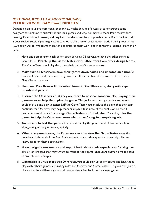#### *(OPTIONAL, IF YOU HAVE ADDITIONAL TIME)*  **PEER REVIEW OF GAMES—20 MINUTES**

Depending on your program goals, peer review might be a helpful activity to encourage game designers to think more critically about their games and ways to improve them. Peer review does take significant time, however, and requires that the games be at a playable point. If you decide to do a peer review session, you might want to choose the shorter presentation option during fourth hour (*4. Finishing Up*) to give teams more time to finish up their work and incorporate feedback from their peers.

- 1. Have one person from each design team serve as Observer, and have the other serve as Game Tester. **Match up the Game Testers with Observers from other design teams.** The Game Testers will play the games their paired Observer created.
- 2. **Make sure all Observers have their games downloaded and updated on a mobile device.** Once the devices are ready, have the Observers hand them over to their (new) Game Tester partners.
- 3. **Hand out Peer Review Observation forms to the Observers, along with clipboards and pencils.**
- 4. **Instruct the Observers that they are there to observe someone else playing their game—not to help them play the game.** The goal is to have a game that somebody could pick up and play unassisted. (If the Game Tester gets stuck to the point that they can't continue, the Observer may help them briefly, but take note of the confusion so that it can be improved later.) **Encourage Game Testers to "think aloud" as they play the game, to help the Observers know what is confusing, fun, surprising, etc.**
- 5. **Go outside to test the games!** Game Testers play the games, while Observers follow along, taking notes (and staying quiet!).
- 6. **When the game is over, the Observer can interview the Game Tester** using the questions at the end of the Peer Review sheet or any other questions they might like to know, based on their observations.
- 7. **Have design teams reunite and report back about their experiences**, focusing specifically on changes they might want to make to their game. Encourage teams to make notes of any intended changes.
- 8. **Optional**: If you have more than 20 minutes, you could pair up design teams and have them play each other's games, alternating roles as Observer and Game Tester. This gives everyone a chance to play a different game and receive direct feedback on their own game.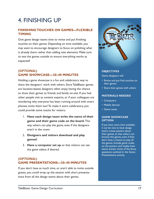### <span id="page-16-0"></span>4. FINISHING UP

#### **FINISHING TOUCHES ON GAMES—FLEXIBLE TIMING**

Give game design teams time to revise and put finishing touches on their games. Depending on time available, you may want to encourage designers to focus on polishing what is already there rather than adding new elements. Make sure to test the games outside to ensure everything works as expected!

#### *(OPTIONAL)*  **GAME SHOWCASE—30–40 MINUTES**

Holding a game showcase is a fun and celebratory way to share the designers' work with others. Since TaleBlazer games are location-based, designers often enjoy having the chance to show their games to friends and family on-site. If you had other people visit as content experts, or if your colleagues are wondering why everyone has been running around with smart phones, invite them too! To make it extra celebratory, you could provide some snacks for visitors.

- 1. **Have each design team write the name of their game and their game code on the board.** This way others can play the game, even if the designers aren't in the room.
- 2. **Designers and visitors download and play games!**
- 3. **Have a computer set up** so that visitors can see the game editor, if desired.

#### *(OPTIONAL)*  **GAME PRESENTATIONS—20–40 MINUTES**

If you don't have as much time, or aren't able to invite outside guests, you could wrap up the session with short presentations from all the design teams about their games.



#### **OBJECTIVES**

Game designers will:

- Revise and put final touches on their games
- Share their games with others

#### **MATERIALS NEEDED**

- Computers
- Mobile devices
- Game notes

#### **GAME SHOWCASE OPTION**

If you have more time available, it can be nice to have design teams create posters about their games so that others can browse the games, even if they don't have a chance to play all the games. Include game codes on the posters and maybe have teams answer some of the focus questions outlined in the Game Presentations activity.